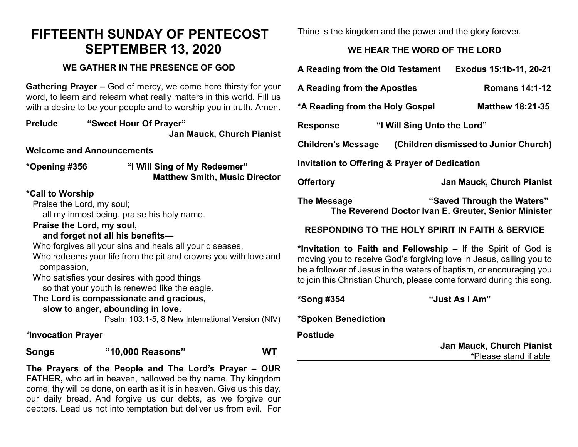# **FIFTEENTH SUNDAY OF PENTECOST SEPTEMBER 13, 2020**

#### **WE GATHER IN THE PRESENCE OF GOD**

**Gathering Prayer –** God of mercy, we come here thirsty for your word, to learn and relearn what really matters in this world. Fill us with a desire to be your people and to worship you in truth. Amen.

**Prelude "Sweet Hour Of Prayer" Jan Mauck, Church Pianist**

**Welcome and Announcements**

**\*Opening #356 "I Will Sing of My Redeemer" Matthew Smith, Music Director** 

#### **\*Call to Worship**

Praise the Lord, my soul;

all my inmost being, praise his holy name.

**Praise the Lord, my soul,**

#### **and forget not all his benefits—**

Who forgives all your sins and heals all your diseases,

Who redeems your life from the pit and crowns you with love and compassion,

Who satisfies your desires with good things

so that your youth is renewed like the eagle.

#### **The Lord is compassionate and gracious,**

#### **slow to anger, abounding in love.**

Psalm 103:1-5, 8 New International Version (NIV)

*\****Invocation Prayer** 

**Songs "10,000 Reasons" WT**

**The Prayers of the People and The Lord's Prayer – OUR FATHER,** who art in heaven, hallowed be thy name. Thy kingdom come, thy will be done, on earth as it is in heaven. Give us this day, our daily bread. And forgive us our debts, as we forgive our debtors. Lead us not into temptation but deliver us from evil. For Thine is the kingdom and the power and the glory forever.

## **WE HEAR THE WORD OF THE LORD**

| A Reading from the Old Testament                                   |  | Exodus 15:1b-11, 20-21           |
|--------------------------------------------------------------------|--|----------------------------------|
| A Reading from the Apostles                                        |  | <b>Romans 14:1-12</b>            |
| *A Reading from the Holy Gospel                                    |  | <b>Matthew 18:21-35</b>          |
| "I Will Sing Unto the Lord"<br><b>Response</b>                     |  |                                  |
| (Children dismissed to Junior Church)<br><b>Children's Message</b> |  |                                  |
| <b>Invitation to Offering &amp; Prayer of Dedication</b>           |  |                                  |
| <b>Offertory</b>                                                   |  | <b>Jan Mauck, Church Pianist</b> |
| The Message                                                        |  | "Saved Through the Waters"       |

**The Reverend Doctor Ivan E. Greuter, Senior Minister**

### **RESPONDING TO THE HOLY SPIRIT IN FAITH & SERVICE**

**\*Invitation to Faith and Fellowship –** If the Spirit of God is moving you to receive God's forgiving love in Jesus, calling you to be a follower of Jesus in the waters of baptism, or encouraging you to join this Christian Church, please come forward during this song.

**\*Song #354 "Just As I Am"**

**\*Spoken Benediction** 

**Postlude** 

**Jan Mauck, Church Pianist** \*Please stand if able